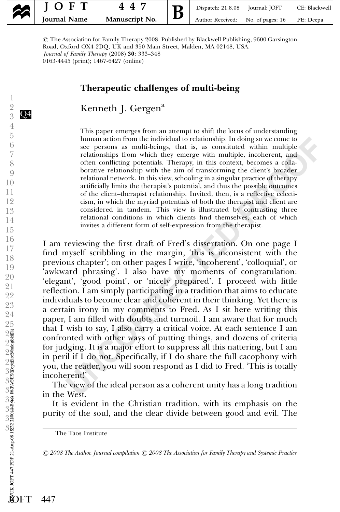| <b>AA</b> |                     |                | Dispatch: $21.8.08$ | <b>Iournal: IOFT</b> | CE: Blackwell |
|-----------|---------------------|----------------|---------------------|----------------------|---------------|
|           | <b>Journal Name</b> | Manuscript No. | Author Received:    | No. of pages: 16     | PE: Deepa     |

© The Association for Family Therapy 2008. Published by Blackwell Publishing, 9600 Garsington Road, Oxford OX4 2DQ, UK and 350 Main Street, Malden, MA 02148, USA. Journal of Family Therapy (2008) 30: 333–348 0163-4445 (print); 1467-6427 (online)

## Therapeutic challenges of multi-being

Kenneth J. Gergen<sup>a</sup>

This paper emerges from an attempt to shift the locus of understanding human action from the individual to relationship. In doing so we come to see persons as multi-beings, that is, as constituted within multiple relationships from which they emerge with multiple, incoherent, and often conflicting potentials. Therapy, in this context, becomes a collaborative relationship with the aim of transforming the client's broader relational network. In this view, schooling in a singular practice of therapy artificially limits the therapist's potential, and thus the possible outcomes of the client–therapist relationship. Invited, then, is a reflective eclecticism, in which the myriad potentials of both the therapist and client are considered in tandem. This view is illustrated by contrasting three relational conditions in which clients find themselves, each of which invites a different form of self-expression from the therapist.

human actom for mothemulatal to relationship. In doing so we come to<br>persons as multi-beings, that is, as constituted within multiple<br>relationships from which they emerge with multiple, incoherent, and<br>often conflicting po I am reviewing the first draft of Fred's dissertation. On one page I find myself scribbling in the margin, 'this is inconsistent with the previous chapter'; on other pages I write, 'incoherent', 'colloquial', or 'awkward phrasing'. I also have my moments of congratulation: 'elegant', 'good point', or 'nicely prepared'. I proceed with little reflection. I am simply participating in a tradition that aims to educate individuals to become clear and coherent in their thinking. Yet there is a certain irony in my comments to Fred. As I sit here writing this paper, I am filled with doubts and turmoil. I am aware that for much that I wish to say, I also carry a critical voice. At each sentence I am confronted with other ways of putting things, and dozens of criteria for judging. It is a major effort to suppress all this nattering, but I am in peril if I do not. Specifically, if I do share the full cacophony with you, the reader, you will soon respond as I did to Fred. 'This is totally incoherent!'

The view of the ideal person as a coherent unity has a long tradition in the West.

It is evident in the Christian tradition, with its emphasis on the purity of the soul, and the clear divide between good and evil. The

 $C$  2008 The Author. Journal compilation  $C$  2008 The Association for Family Therapy and Systemic Practice

Q4

The Taos Institute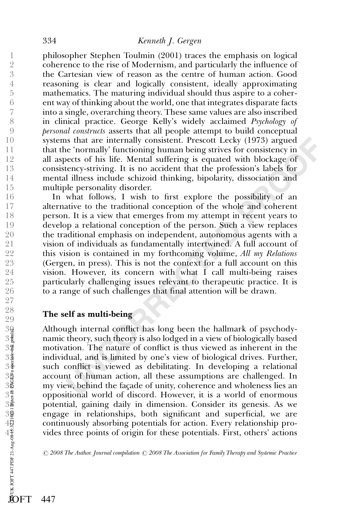philosopher Stephen Toulmin (2001) traces the emphasis on logical coherence to the rise of Modernism, and particularly the influence of the Cartesian view of reason as the centre of human action. Good reasoning is clear and logically consistent, ideally approximating mathematics. The maturing individual should thus aspire to a coherent way of thinking about the world, one that integrates disparate facts into a single, overarching theory. These same values are also inscribed in clinical practice. George Kelly's widely acclaimed Psychology of personal constructs asserts that all people attempt to build conceptual systems that are internally consistent. Prescott Lecky (1973) argued that the 'normally' functioning human being strives for consistency in all aspects of his life. Mental suffering is equated with blockage of consistency-striving. It is no accident that the profession's labels for mental illness include schizoid thinking, bipolarity, dissociation and multiple personality disorder.

Is that are internally consistent. Prescott Lecky (1973) argued<br>
e'normally' functioning human being strives for consistency in<br>
e'ects of his life. Mental suffering is equated with blockage of<br>
tency-striving. It is no ac In what follows, I wish to first explore the possibility of an alternative to the traditional conception of the whole and coherent person. It is a view that emerges from my attempt in recent years to develop a relational conception of the person. Such a view replaces the traditional emphasis on independent, autonomous agents with a vision of individuals as fundamentally intertwined. A full account of this vision is contained in my forthcoming volume, All my Relations (Gergen, in press). This is not the context for a full account on this vision. However, its concern with what I call multi-being raises particularly challenging issues relevant to therapeutic practice. It is to a range of such challenges that final attention will be drawn.

### The self as multi-being

Although internal conflict has long been the hallmark of psychodynamic theory, such theory is also lodged in a view of biologically based motivation. The nature of conflict is thus viewed as inherent in the individual, and is limited by one's view of biological drives. Further, such conflict is viewed as debilitating. In developing a relational account of human action, all these assumptions are challenged. In my view, behind the facade of unity, coherence and wholeness lies an oppositional world of discord. However, it is a world of enormous potential, gaining daily in dimension. Consider its genesis. As we engage in relationships, both significant and superficial, we are continuously absorbing potentials for action. Every relationship provides three points of origin for these potentials. First, others' actions

 $C$  2008 The Author. Journal compilation  $C$  2008 The Association for Family Therapy and Systemic Practice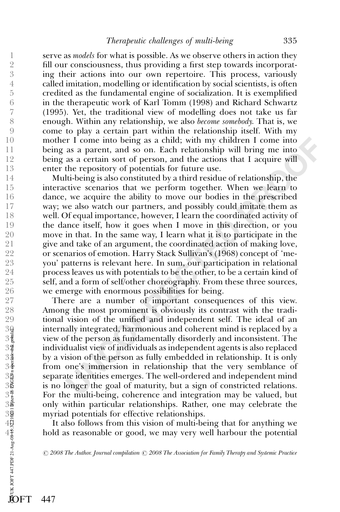serve as models for what is possible. As we observe others in action they fill our consciousness, thus providing a first step towards incorporating their actions into our own repertoire. This process, variously called imitation, modelling or identification by social scientists, is often credited as the fundamental engine of socialization. It is exemplified in the therapeutic work of Karl Tomm (1998) and Richard Schwartz (1995). Yet, the traditional view of modelling does not take us far enough. Within any relationship, we also become somebody. That is, we come to play a certain part within the relationship itself. With my mother I come into being as a child; with my children I come into being as a parent, and so on. Each relationship will bring me into being as a certain sort of person, and the actions that I acquire will enter the repository of potentials for future use.

If I come into being as a child; with my children I come into as a parent, and so on. Each relationship will bring me into as a certain sort of person, and the actions that I acquire will<br>the repository of potentials for f Multi-being is also constituted by a third residue of relationship, the interactive scenarios that we perform together. When we learn to dance, we acquire the ability to move our bodies in the prescribed way; we also watch our partners, and possibly could imitate them as well. Of equal importance, however, I learn the coordinated activity of the dance itself, how it goes when I move in this direction, or you move in that. In the same way, I learn what it is to participate in the give and take of an argument, the coordinated action of making love, or scenarios of emotion. Harry Stack Sullivan's (1968) concept of 'meyou' patterns is relevant here. In sum, our participation in relational process leaves us with potentials to be the other, to be a certain kind of self, and a form of self/other choreography. From these three sources, we emerge with enormous possibilities for being.

There are a number of important consequences of this view. Among the most prominent is obviously its contrast with the traditional vision of the unified and independent self. The ideal of an internally integrated, harmonious and coherent mind is replaced by a view of the person as fundamentally disorderly and inconsistent. The individualist view of individuals as independent agents is also replaced by a vision of the person as fully embedded in relationship. It is only from one's immersion in relationship that the very semblance of separate identities emerges. The well-ordered and independent mind is no longer the goal of maturity, but a sign of constricted relations. For the multi-being, coherence and integration may be valued, but only within particular relationships. Rather, one may celebrate the myriad potentials for effective relationships.

It also follows from this vision of multi-being that for anything we hold as reasonable or good, we may very well harbour the potential

 $C$  2008 The Author. Journal compilation  $C$  2008 The Association for Family Therapy and Systemic Practice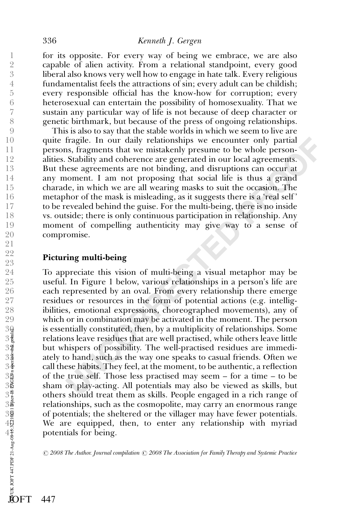for its opposite. For every way of being we embrace, we are also capable of alien activity. From a relational standpoint, every good liberal also knows very well how to engage in hate talk. Every religious fundamentalist feels the attractions of sin; every adult can be childish; every responsible official has the know-how for corruption; every heterosexual can entertain the possibility of homosexuality. That we sustain any particular way of life is not because of deep character or genetic birthmark, but because of the press of ongoing relationships.

This is also to say that the stable worlds in which we seem to live are quite fragile. In our daily relationships we encounter only partial persons, fragments that we mistakenly presume to be whole personalities. Stability and coherence are generated in our local agreements. But these agreements are not binding, and disruptions can occur at any moment. I am not proposing that social life is thus a grand charade, in which we are all wearing masks to suit the occasion. The metaphor of the mask is misleading, as it suggests there is a 'real self ' to be revealed behind the guise. For the multi-being, there is no inside vs. outside; there is only continuous participation in relationship. Any moment of compelling authenticity may give way to a sense of compromise.

## Picturing multi-being

fragile. In our daily relationships we encounter only partial<br>s, fragments that we mistakenly presume to be whole person-<br>Stability and coherence are generated in our local agreements.<br>Stability and coherence are generated To appreciate this vision of multi-being a visual metaphor may be useful. In Figure 1 below, various relationships in a person's life are each represented by an oval. From every relationship there emerge residues or resources in the form of potential actions (e.g. intelligibilities, emotional expressions, choreographed movements), any of which or in combination may be activated in the moment. The person is essentially constituted, then, by a multiplicity of relationships. Some relations leave residues that are well practised, while others leave little but whispers of possibility. The well-practised residues are immediately to hand, such as the way one speaks to casual friends. Often we call these habits. They feel, at the moment, to be authentic, a reflection of the true self. Those less practised may seem – for a time – to be sham or play-acting. All potentials may also be viewed as skills, but others should treat them as skills. People engaged in a rich range of relationships, such as the cosmopolite, may carry an enormous range of potentials; the sheltered or the villager may have fewer potentials. We are equipped, then, to enter any relationship with myriad potentials for being.

 $C$  2008 The Author. Journal compilation  $C$  2008 The Association for Family Therapy and Systemic Practice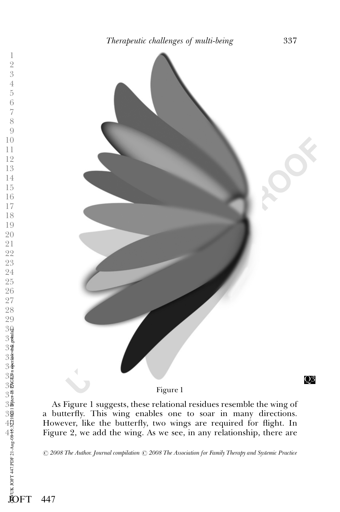

Figure 1

Q3

As Figure 1 suggests, these relational residues resemble the wing of a butterfly. This wing enables one to soar in many directions. However, like the butterfly, two wings are required for flight. In Figure 2, we add the wing. As we see, in any relationship, there are

© 2008 The Author. Journal compilation © 2008 The Association for Family Therapy and Systemic Practice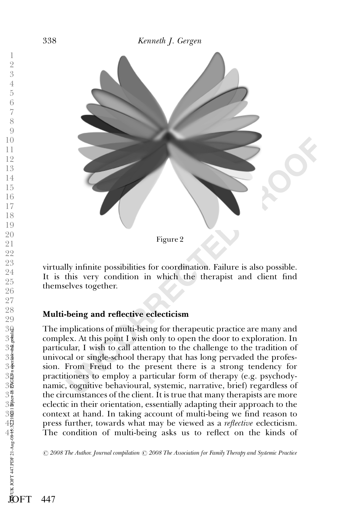

Figure 2

virtually infinite possibilities for coordination. Failure is also possible. It is this very condition in which the therapist and client find themselves together.

### Multi-being and reflective eclecticism

The implications of multi-being for therapeutic practice are many and complex. At this point I wish only to open the door to exploration. In particular, I wish to call attention to the challenge to the tradition of univocal or single-school therapy that has long pervaded the profession. From Freud to the present there is a strong tendency for practitioners to employ a particular form of therapy (e.g. psychodynamic, cognitive behavioural, systemic, narrative, brief) regardless of the circumstances of the client. It is true that many therapists are more eclectic in their orientation, essentially adapting their approach to the context at hand. In taking account of multi-being we find reason to press further, towards what may be viewed as a reflective eclecticism. The condition of multi-being asks us to reflect on the kinds of

 $C$  2008 The Author. Journal compilation  $C$  2008 The Association for Family Therapy and Systemic Practice

1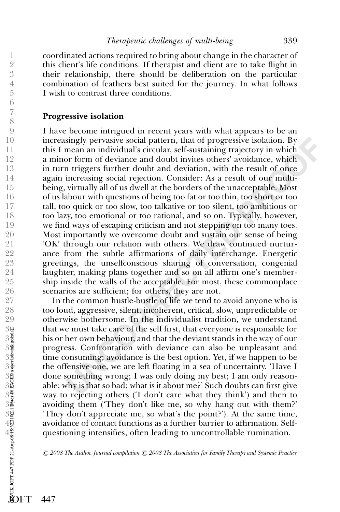coordinated actions required to bring about change in the character of this client's life conditions. If therapist and client are to take flight in their relationship, there should be deliberation on the particular combination of feathers best suited for the journey. In what follows I wish to contrast three conditions.

#### Progressive isolation

singly pervasive social pattern, that of progressive isolation. By<br>mean an individual's circular, self-sustaining trajectory in which<br>per form of deviance and doubt invites others' avoidance, which<br>triggers further doubt a I have become intrigued in recent years with what appears to be an increasingly pervasive social pattern, that of progressive isolation. By this I mean an individual's circular, self-sustaining trajectory in which a minor form of deviance and doubt invites others' avoidance, which in turn triggers further doubt and deviation, with the result of once again increasing social rejection. Consider: As a result of our multibeing, virtually all of us dwell at the borders of the unacceptable. Most of us labour with questions of being too fat or too thin, too short or too tall, too quick or too slow, too talkative or too silent, too ambitious or too lazy, too emotional or too rational, and so on. Typically, however, we find ways of escaping criticism and not stepping on too many toes. Most importantly we overcome doubt and sustain our sense of being 'OK' through our relation with others. We draw continued nurturance from the subtle affirmations of daily interchange. Energetic greetings, the unselfconscious sharing of conversation, congenial laughter, making plans together and so on all affirm one's membership inside the walls of the acceptable. For most, these commonplace scenarios are sufficient; for others, they are not.

In the common hustle-bustle of life we tend to avoid anyone who is too loud, aggressive, silent, incoherent, critical, slow, unpredictable or otherwise bothersome. In the individualist tradition, we understand that we must take care of the self first, that everyone is responsible for his or her own behaviour, and that the deviant stands in the way of our progress. Confrontation with deviance can also be unpleasant and time consuming; avoidance is the best option. Yet, if we happen to be the offensive one, we are left floating in a sea of uncertainty. 'Have I done something wrong; I was only doing my best; I am only reasonable; why is that so bad; what is it about me?' Such doubts can first give way to rejecting others ('I don't care what they think') and then to avoiding them ('They don't like me, so why hang out with them?' 'They don't appreciate me, so what's the point?'). At the same time, avoidance of contact functions as a further barrier to affirmation. Selfquestioning intensifies, often leading to uncontrollable rumination.

 $C$  2008 The Author. Journal compilation  $C$  2008 The Association for Family Therapy and Systemic Practice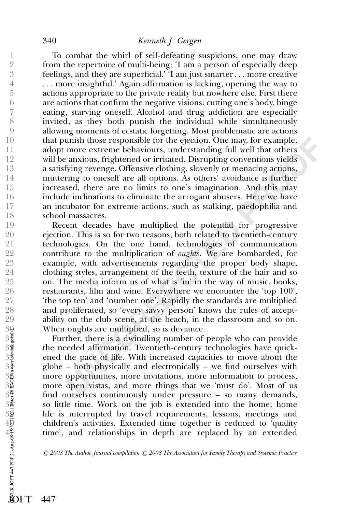To combat the whirl of self-defeating suspicions, one may draw from the repertoire of multi-being: 'I am a person of especially deep feelings, and they are superficial.' 'I am just smarter . . . more creative . . . more insightful.' Again affirmation is lacking, opening the way to actions appropriate to the private reality but nowhere else. First there are actions that confirm the negative visions: cutting one's body, binge eating, starving oneself. Alcohol and drug addiction are especially invited, as they both punish the individual while simultaneously allowing moments of ecstatic forgetting. Most problematic are actions that punish those responsible for the ejection. One may, for example, adopt more extreme behaviours, understanding full well that others will be anxious, frightened or irritated. Disrupting conventions yields a satisfying revenge. Offensive clothing, slovenly or menacing actions, muttering to oneself are all options. As others' avoidance is further increased, there are no limits to one's imagination. And this may include inclinations to eliminate the arrogant abusers. Here we have an incubator for extreme actions, such as stalking, paedophilia and school massacres.

unish those responsible for the ejection. One may, for example,<br>more extreme behavious, understanding full well that others<br>a anxious, frightened or irritated. Disrupting conventions yields<br>fying revenge. Offensive dothing Recent decades have multiplied the potential for progressive ejection. This is so for two reasons, both related to twentieth-century technologies. On the one hand, technologies of communication contribute to the multiplication of oughts. We are bombarded, for example, with advertisements regarding the proper body shape, clothing styles, arrangement of the teeth, texture of the hair and so on. The media inform us of what is 'in' in the way of music, books, restaurants, film and wine. Everywhere we encounter the 'top 100', 'the top ten' and 'number one'. Rapidly the standards are multiplied and proliferated, so 'every savvy person' knows the rules of acceptability on the club scene, at the beach, in the classroom and so on. When oughts are multiplied, so is deviance.

Further, there is a dwindling number of people who can provide the needed affirmation. Twentieth-century technologies have quickened the pace of life. With increased capacities to move about the globe – both physically and electronically – we find ourselves with more opportunities, more invitations, more information to process, more open vistas, and more things that we 'must do'. Most of us find ourselves continuously under pressure – so many demands, so little time. Work on the job is extended into the home; home life is interrupted by travel requirements, lessons, meetings and children's activities. Extended time together is reduced to 'quality time', and relationships in depth are replaced by an extended

 $C$  2008 The Author. Journal compilation  $C$  2008 The Association for Family Therapy and Systemic Practice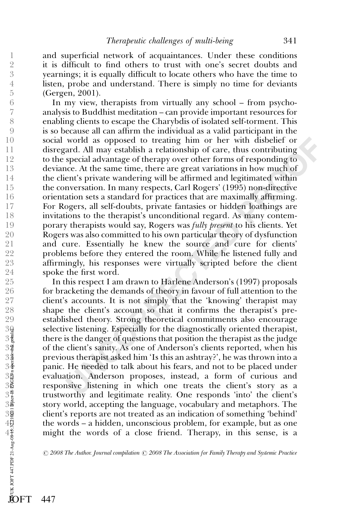and superficial network of acquaintances. Under these conditions it is difficult to find others to trust with one's secret doubts and yearnings; it is equally difficult to locate others who have the time to listen, probe and understand. There is simply no time for deviants (Gergen, 2001).

world as opposed to treating him or her with disbelief or<br>ard. All may establish a relationship of care, thus contributing<br>special advantage of therapy over other forms of responding to<br>cce. At the same time, there are gre In my view, therapists from virtually any school – from psychoanalysis to Buddhist meditation – can provide important resources for enabling clients to escape the Charybdis of isolated self-torment. This is so because all can affirm the individual as a valid participant in the social world as opposed to treating him or her with disbelief or disregard. All may establish a relationship of care, thus contributing to the special advantage of therapy over other forms of responding to deviance. At the same time, there are great variations in how much of the client's private wandering will be affirmed and legitimated within the conversation. In many respects, Carl Rogers' (1995) non-directive orientation sets a standard for practices that are maximally affirming. For Rogers, all self-doubts, private fantasies or hidden loathings are invitations to the therapist's unconditional regard. As many contemporary therapists would say, Rogers was fully present to his clients. Yet Rogers was also committed to his own particular theory of dysfunction and cure. Essentially he knew the source and cure for clients' problems before they entered the room. While he listened fully and affirmingly, his responses were virtually scripted before the client spoke the first word.

In this respect I am drawn to Harlene Anderson's (1997) proposals for bracketing the demands of theory in favour of full attention to the client's accounts. It is not simply that the 'knowing' therapist may shape the client's account so that it confirms the therapist's preestablished theory. Strong theoretical commitments also encourage selective listening. Especially for the diagnostically oriented therapist, there is the danger of questions that position the therapist as the judge of the client's sanity. As one of Anderson's clients reported, when his previous therapist asked him 'Is this an ashtray?', he was thrown into a panic. He needed to talk about his fears, and not to be placed under evaluation. Anderson proposes, instead, a form of curious and responsive listening in which one treats the client's story as a trustworthy and legitimate reality. One responds 'into' the client's story world, accepting the language, vocabulary and metaphors. The client's reports are not treated as an indication of something 'behind' the words – a hidden, unconscious problem, for example, but as one might the words of a close friend. Therapy, in this sense, is a

 $C$  2008 The Author. Journal compilation  $C$  2008 The Association for Family Therapy and Systemic Practice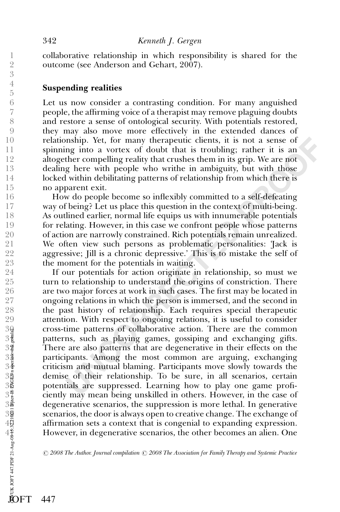collaborative relationship in which responsibility is shared for the outcome (see Anderson and Gehart, 2007).

## Suspending realities

Let us now consider a contrasting condition. For many anguished people, the affirming voice of a therapist may remove plaguing doubts and restore a sense of ontological security. With potentials restored, they may also move more effectively in the extended dances of relationship. Yet, for many therapeutic clients, it is not a sense of spinning into a vortex of doubt that is troubling; rather it is an altogether compelling reality that crushes them in its grip. We are not dealing here with people who writhe in ambiguity, but with those locked within debilitating patterns of relationship from which there is no apparent exit.

How do people become so inflexibly committed to a self-defeating way of being? Let us place this question in the context of multi-being. As outlined earlier, normal life equips us with innumerable potentials for relating. However, in this case we confront people whose patterns of action are narrowly constrained. Rich potentials remain unrealized. We often view such persons as problematic personalities: 'Jack is aggressive; Jill is a chronic depressive.' This is to mistake the self of the moment for the potentials in waiting.

nship. Yet, for many therapeutic clients, it is not a sense of<br>mg into a vortex of doubt that is troubling; rather it is am<br>ther compelling reality that crushes them in its grip. We are not<br>g here with people who writhe in If our potentials for action originate in relationship, so must we turn to relationship to understand the origins of constriction. There are two major forces at work in such cases. The first may be located in ongoing relations in which the person is immersed, and the second in the past history of relationship. Each requires special therapeutic attention. With respect to ongoing relations, it is useful to consider cross-time patterns of collaborative action. There are the common patterns, such as playing games, gossiping and exchanging gifts. There are also patterns that are degenerative in their effects on the participants. Among the most common are arguing, exchanging criticism and mutual blaming. Participants move slowly towards the demise of their relationship. To be sure, in all scenarios, certain potentials are suppressed. Learning how to play one game proficiently may mean being unskilled in others. However, in the case of degenerative scenarios, the suppression is more lethal. In generative scenarios, the door is always open to creative change. The exchange of affirmation sets a context that is congenial to expanding expression. However, in degenerative scenarios, the other becomes an alien. One

 $C$  2008 The Author. Journal compilation  $C$  2008 The Association for Family Therapy and Systemic Practice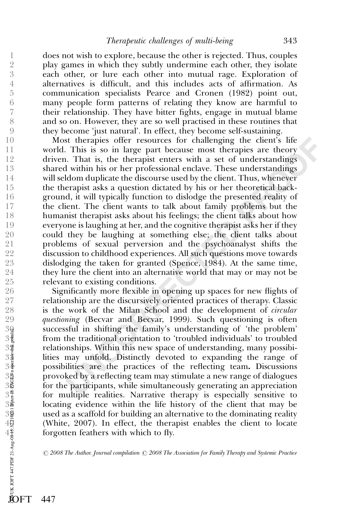does not wish to explore, because the other is rejected. Thus, couples play games in which they subtly undermine each other, they isolate each other, or lure each other into mutual rage. Exploration of alternatives is difficult, and this includes acts of affirmation. As communication specialists Pearce and Cronen (1982) point out, many people form patterns of relating they know are harmful to their relationship. They have bitter fights, engage in mutual blame and so on. However, they are so well practised in these routines that they become 'just natural'. In effect, they become self-sustaining.

It the siso in large part because most therapies offer resources for challenging the clint's life<br>
I. That is, on large part because most therapies are theory<br>
I. That is, the therapist enters with a set of understandings<br> Most therapies offer resources for challenging the client's life world. This is so in large part because most therapies are theory driven. That is, the therapist enters with a set of understandings shared within his or her professional enclave. These understandings will seldom duplicate the discourse used by the client. Thus, whenever the therapist asks a question dictated by his or her theoretical background, it will typically function to dislodge the presented reality of the client. The client wants to talk about family problems but the humanist therapist asks about his feelings; the client talks about how everyone is laughing at her, and the cognitive therapist asks her if they could they be laughing at something else; the client talks about problems of sexual perversion and the psychoanalyst shifts the discussion to childhood experiences. All such questions move towards dislodging the taken for granted (Spence, 1984). At the same time, they lure the client into an alternative world that may or may not be relevant to existing conditions.

Significantly more flexible in opening up spaces for new flights of relationship are the discursively oriented practices of therapy. Classic is the work of the Milan School and the development of circular questioning (Becvar and Becvar, 1999). Such questioning is often successful in shifting the family's understanding of 'the problem' from the traditional orientation to 'troubled individuals' to troubled relationships. Within this new space of understanding, many possibilities may unfold. Distinctly devoted to expanding the range of possibilities are the practices of the reflecting team. Discussions provoked by a reflecting team may stimulate a new range of dialogues for the participants, while simultaneously generating an appreciation for multiple realities. Narrative therapy is especially sensitive to locating evidence within the life history of the client that may be used as a scaffold for building an alternative to the dominating reality (White, 2007). In effect, the therapist enables the client to locate forgotten feathers with which to fly.

 $C$  2008 The Author. Journal compilation  $C$  2008 The Association for Family Therapy and Systemic Practice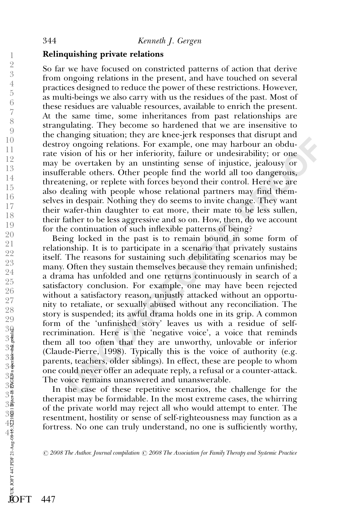#### Relinquishing private relations

So far we have focused on constricted patterns of action that derive from ongoing relations in the present, and have touched on several practices designed to reduce the power of these restrictions. However, as multi-beings we also carry with us the residues of the past. Most of these residues are valuable resources, available to enrich the present. At the same time, some inheritances from past relationships are strangulating. They become so hardened that we are insensitive to the changing situation; they are knee-jerk responses that disrupt and destroy ongoing relations. For example, one may harbour an obdurate vision of his or her inferiority, failure or undesirability; or one may be overtaken by an unstinting sense of injustice, jealousy or insufferable others. Other people find the world all too dangerous, threatening, or replete with forces beyond their control. Here we are also dealing with people whose relational partners may find themselves in despair. Nothing they do seems to invite change. They want their wafer-thin daughter to eat more, their mate to be less sullen, their father to be less aggressive and so on. How, then, do we account for the continuation of such inflexible patterns of being?

y ongoing relations. For example, one may harbour an obdu-<br>sion of his or her inferiority, failure or undesirability; or one<br>evertaken by an unstinting sense of injustice, jealousy or<br>erable others. Other people find the w Being locked in the past is to remain bound in some form of relationship. It is to participate in a scenario that privately sustains itself. The reasons for sustaining such debilitating scenarios may be many. Often they sustain themselves because they remain unfinished; a drama has unfolded and one returns continuously in search of a satisfactory conclusion. For example, one may have been rejected without a satisfactory reason, unjustly attacked without an opportunity to retaliate, or sexually abused without any reconciliation. The story is suspended; its awful drama holds one in its grip. A common form of the 'unfinished story' leaves us with a residue of selfrecrimination. Here is the 'negative voice', a voice that reminds them all too often that they are unworthy, unlovable or inferior (Claude-Pierre, 1998). Typically this is the voice of authority (e.g. parents, teachers, older siblings). In effect, these are people to whom one could never offer an adequate reply, a refusal or a counter-attack. The voice remains unanswered and unanswerable.

In the case of these repetitive scenarios, the challenge for the therapist may be formidable. In the most extreme cases, the whirring of the private world may reject all who would attempt to enter. The resentment, hostility or sense of self-righteousness may function as a fortress. No one can truly understand, no one is sufficiently worthy,

 $C$  2008 The Author. Journal compilation  $C$  2008 The Association for Family Therapy and Systemic Practice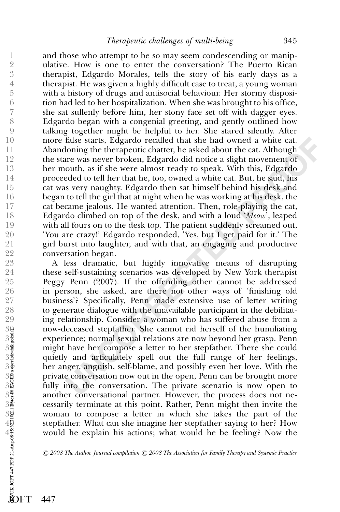and those who attempt to be so may seem condescending or manipulative. How is one to enter the conversation? The Puerto Rican therapist, Edgardo Morales, tells the story of his early days as a therapist. He was given a highly difficult case to treat, a young woman with a history of drugs and antisocial behaviour. Her stormy disposition had led to her hospitalization. When she was brought to his office, she sat sullenly before him, her stony face set off with dagger eyes. Edgardo began with a congenial greeting, and gently outlined how talking together might be helpful to her. She stared silently. After more false starts, Edgardo recalled that she had owned a white cat. Abandoning the therapeutic chatter, he asked about the cat. Although the stare was never broken, Edgardo did notice a slight movement of her mouth, as if she were almost ready to speak. With this, Edgardo proceeded to tell her that he, too, owned a white cat. But, he said, his cat was very naughty. Edgardo then sat himself behind his desk and began to tell the girl that at night when he was working at his desk, the cat became jealous. He wanted attention. Then, role-playing the cat, Edgardo climbed on top of the desk, and with a loud 'Meow', leaped with all fours on to the desk top. The patient suddenly screamed out, 'You are crazy!' Edgardo responded, 'Yes, but I get paid for it.' The girl burst into laughter, and with that, an engaging and productive conversation began. 1 2 3 4 5 6 7 8 9 10 11 12 13 14 15 16 17 18 19 20 21 22

floating the therapeutic chatter, he asked about the cat. Although<br>Ioming the therapeutic chatter, he asked about the cat. Although<br>Increase newer broken, Edgardo did notice a slight movement of<br>outh, as if she were almost A less dramatic, but highly innovative means of disrupting these self-sustaining scenarios was developed by New York therapist Peggy Penn (2007). If the offending other cannot be addressed in person, she asked, are there not other ways of 'finishing old business'? Specifically, Penn made extensive use of letter writing to generate dialogue with the unavailable participant in the debilitating relationship. Consider a woman who has suffered abuse from a now-deceased stepfather. She cannot rid herself of the humiliating experience; normal sexual relations are now beyond her grasp. Penn might have her compose a letter to her stepfather. There she could quietly and articulately spell out the full range of her feelings, her anger, anguish, self-blame, and possibly even her love. With the private conversation now out in the open, Penn can be brought more fully into the conversation. The private scenario is now open to another conversational partner. However, the process does not necessarily terminate at this point. Rather, Penn might then invite the woman to compose a letter in which she takes the part of the stepfather. What can she imagine her stepfather saying to her? How would he explain his actions; what would he be feeling? Now the

 $C$  2008 The Author. Journal compilation  $C$  2008 The Association for Family Therapy and Systemic Practice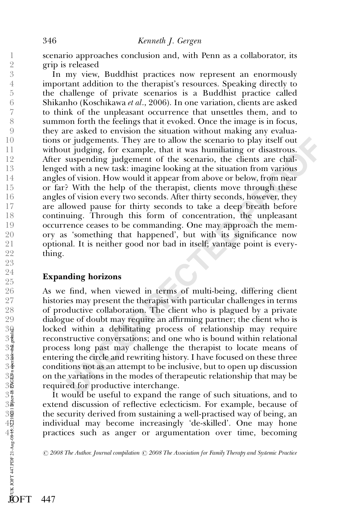scenario approaches conclusion and, with Penn as a collaborator, its grip is released

Ir ujdgements. They are to allow the scenario to play itself out<br> **Uyidging,** for example, that it was humiliating or disartous.<br>
suspending judgement of the scenario, the clients are chal-<br>
with a new task: imagine lookin In my view, Buddhist practices now represent an enormously important addition to the therapist's resources. Speaking directly to the challenge of private scenarios is a Buddhist practice called Shikanho (Koschikawa et al., 2006). In one variation, clients are asked to think of the unpleasant occurrence that unsettles them, and to summon forth the feelings that it evoked. Once the image is in focus, they are asked to envision the situation without making any evaluations or judgements. They are to allow the scenario to play itself out without judging, for example, that it was humiliating or disastrous. After suspending judgement of the scenario, the clients are challenged with a new task: imagine looking at the situation from various angles of vision. How would it appear from above or below, from near or far? With the help of the therapist, clients move through these angles of vision every two seconds. After thirty seconds, however, they are allowed pause for thirty seconds to take a deep breath before continuing. Through this form of concentration, the unpleasant occurrence ceases to be commanding. One may approach the memory as 'something that happened', but with its significance now optional. It is neither good nor bad in itself; vantage point is everything.

#### Expanding horizons

As we find, when viewed in terms of multi-being, differing client histories may present the therapist with particular challenges in terms of productive collaboration. The client who is plagued by a private dialogue of doubt may require an affirming partner; the client who is locked within a debilitating process of relationship may require reconstructive conversations; and one who is bound within relational process long past may challenge the therapist to locate means of entering the circle and rewriting history. I have focused on these three conditions not as an attempt to be inclusive, but to open up discussion on the variations in the modes of therapeutic relationship that may be required for productive interchange.

It would be useful to expand the range of such situations, and to extend discussion of reflective eclecticism. For example, because of the security derived from sustaining a well-practised way of being, an individual may become increasingly 'de-skilled'. One may hone practices such as anger or argumentation over time, becoming

 $C$  2008 The Author. Journal compilation  $C$  2008 The Association for Family Therapy and Systemic Practice

 $\mathbb{F}^{N}$ UK JOFT 447.PDF 21-Aug-08-15:32210011 Bytes 16 PAGES n operator=mk.gokula)<br> $\mathbb{F}^{N}$ **JOFT** 447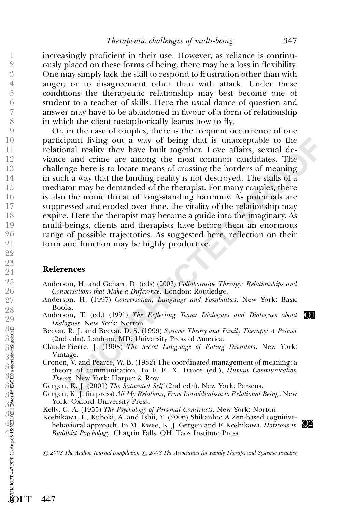increasingly proficient in their use. However, as reliance is continuously placed on these forms of being, there may be a loss in flexibility. One may simply lack the skill to respond to frustration other than with anger, or to disagreement other than with attack. Under these conditions the therapeutic relationship may best become one of student to a teacher of skills. Here the usual dance of question and answer may have to be abandoned in favour of a form of relationship in which the client metaphorically learns how to fly.

pant living out a way of being that is unacceptable to the<br>nal relaify they have built together. Love affairs, sexual de-<br>and crime are among the most common candidates. The<br>ngge here is to locate means of crossing the bro Or, in the case of couples, there is the frequent occurrence of one participant living out a way of being that is unacceptable to the relational reality they have built together. Love affairs, sexual deviance and crime are among the most common candidates. The challenge here is to locate means of crossing the borders of meaning in such a way that the binding reality is not destroyed. The skills of a mediator may be demanded of the therapist. For many couples, there is also the ironic threat of long-standing harmony. As potentials are suppressed and eroded over time, the vitality of the relationship may expire. Here the therapist may become a guide into the imaginary. As multi-beings, clients and therapists have before them an enormous range of possible trajectories. As suggested here, reflection on their form and function may be highly productive.

#### References

- Anderson, H. and Gehart, D. (eds) (2007) Collaborative Therapy: Relationships and Conversations that Make a Difference. London: Routledge.
- Anderson, H. (1997) Conversation, Language and Possibilities. New York: Basic Books.
- Anderson, T. (ed.) (1991) The Reflecting Team: Dialogues and Dialogues about Q1 Dialogues. New York: Norton.

Becvar, R. J. and Becvar, D. S. (1999) Systems Theory and Family Therapy: A Primer (2nd edn). Lanham, MD: University Press of America.

- Claude-Pierre, J. (1998) The Secret Language of Eating Disorders. New York: Vintage.
- Cronen, V. and Pearce, W. B. (1982) The coordinated management of meaning: a theory of communication. In F. E. X. Dance (ed.), Human Communication Theory. New York: Harper & Row.
- Gergen, K. J. (2001) The Saturated Self (2nd edn). New York: Perseus.
- Gergen, K. J. (in press) All My Relations, From Individualism to Relational Being. New York: Oxford University Press.
- Kelly, G. A. (1955) The Psychology of Personal Constructs. New York: Norton.
- Koshikawa, F., Kuboki, A. and Ishii, Y. (2006) Shikanho: A Zen-based cognitivebehavioral approach. In M. Kwee, K. J. Gergen and F. Koshikawa, Horizons in  $\mathbb{Q}2$ Buddhist Psychology. Chagrin Falls, OH: Taos Institute Press.

 $\degree$  2008 The Author. Journal compilation  $\degree$  2008 The Association for Family Therapy and Systemic Practice

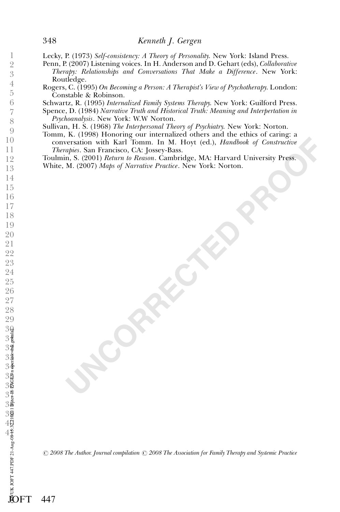- Lecky, P. (1973) Self-consistency: A Theory of Personality. New York: Island Press.
- Penn, P. (2007) Listening voices. In H. Anderson and D. Gehart (eds), Collaborative Therapy: Relationships and Conversations That Make a Difference. New York: Routledge.
	- Rogers, C. (1995) On Becoming a Person: A Therapist's View of Psychotherapy. London: Constable & Robinson.
- Schwartz, R. (1995) Internalized Family Systems Therapy. New York: Guilford Press.
- Spence, D. (1984) Narrative Truth and Historical Truth: Meaning and Interpertation in Psychoanalysis. New York: W.W Norton.
- Sullivan, H. S. (1968) The Interpersonal Theory of Psychiatry. New York: Norton.
- versation with Karl Tomm. In M. Hoyt (ed.), *Hamdbook of Constructive*<br>
applie. Sam Francisco, CA: Jossey-Bass.<br>
In. S. (2001) *Return to Reason.* Cambridge, MA: Harvard University Press.<br>
M. (2007) *Maps of Narrative Prac* Tomm, K. (1998) Honoring our internalized others and the ethics of caring: a conversation with Karl Tomm. In M. Hoyt (ed.), Handbook of Constructive Therapies. San Francisco, CA: Jossey-Bass.
	- Toulmin, S. (2001) Return to Reason. Cambridge, MA: Harvard University Press. White, M. (2007) Maps of Narrative Practice. New York: Norton.

 $C$  2008 The Author. Journal compilation  $C$  2008 The Association for Family Therapy and Systemic Practice